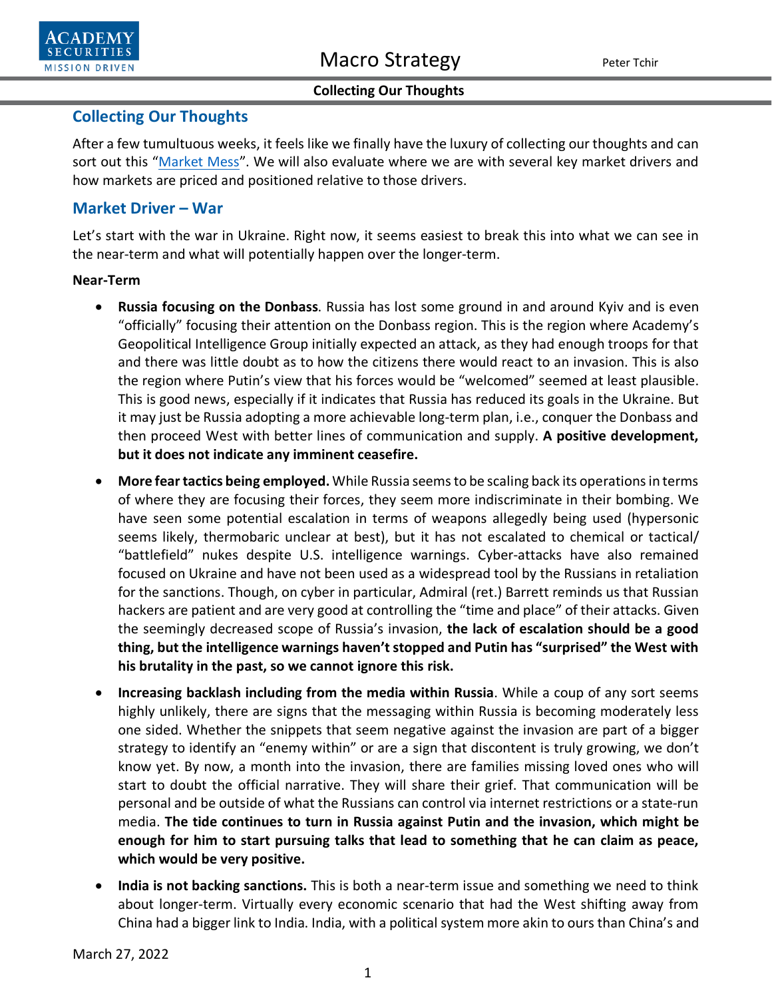



# **Collecting Our Thoughts**

After a few tumultuous weeks, it feels like we finally have the luxury of collecting our thoughts and can sort out this ["Market Mess"](https://www.academysecurities.com/wordpress/wp-content/uploads/2022/03/What-A-Mess.pdf). We will also evaluate where we are with several key market drivers and how markets are priced and positioned relative to those drivers.

# **Market Driver – War**

Let's start with the war in Ukraine. Right now, it seems easiest to break this into what we can see in the near-term and what will potentially happen over the longer-term.

### **Near-Term**

- **Russia focusing on the Donbass**. Russia has lost some ground in and around Kyiv and is even "officially" focusing their attention on the Donbass region. This is the region where Academy's Geopolitical Intelligence Group initially expected an attack, as they had enough troops for that and there was little doubt as to how the citizens there would react to an invasion. This is also the region where Putin's view that his forces would be "welcomed" seemed at least plausible. This is good news, especially if it indicates that Russia has reduced its goals in the Ukraine. But it may just be Russia adopting a more achievable long-term plan, i.e., conquer the Donbass and then proceed West with better lines of communication and supply. **A positive development, but it does not indicate any imminent ceasefire.**
- **More fear tactics being employed.** While Russia seems to be scaling back its operations in terms of where they are focusing their forces, they seem more indiscriminate in their bombing. We have seen some potential escalation in terms of weapons allegedly being used (hypersonic seems likely, thermobaric unclear at best), but it has not escalated to chemical or tactical/ "battlefield" nukes despite U.S. intelligence warnings. Cyber-attacks have also remained focused on Ukraine and have not been used as a widespread tool by the Russians in retaliation for the sanctions. Though, on cyber in particular, Admiral (ret.) Barrett reminds us that Russian hackers are patient and are very good at controlling the "time and place" of their attacks. Given the seemingly decreased scope of Russia's invasion, **the lack of escalation should be a good thing, but the intelligence warnings haven't stopped and Putin has "surprised" the West with his brutality in the past, so we cannot ignore this risk.**
- **Increasing backlash including from the media within Russia**. While a coup of any sort seems highly unlikely, there are signs that the messaging within Russia is becoming moderately less one sided. Whether the snippets that seem negative against the invasion are part of a bigger strategy to identify an "enemy within" or are a sign that discontent is truly growing, we don't know yet. By now, a month into the invasion, there are families missing loved ones who will start to doubt the official narrative. They will share their grief. That communication will be personal and be outside of what the Russians can control via internet restrictions or a state-run media. **The tide continues to turn in Russia against Putin and the invasion, which might be enough for him to start pursuing talks that lead to something that he can claim as peace, which would be very positive.**
- **India is not backing sanctions.** This is both a near-term issue and something we need to think about longer-term. Virtually every economic scenario that had the West shifting away from China had a bigger link to India. India, with a political system more akin to ours than China's and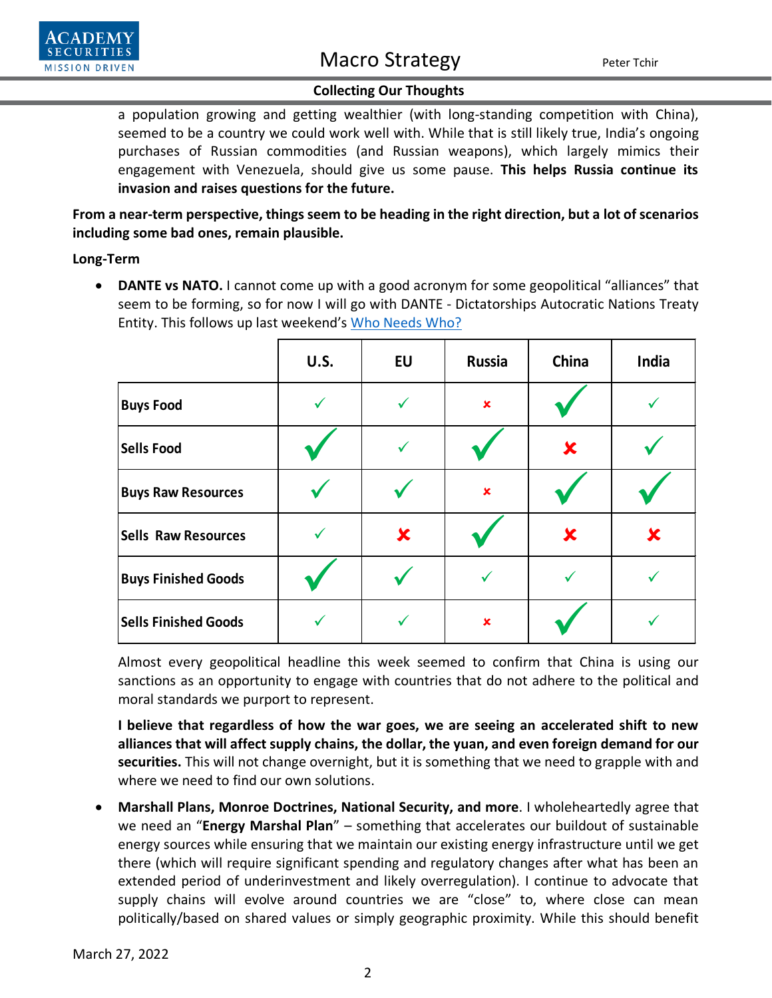a population growing and getting wealthier (with long-standing competition with China), seemed to be a country we could work well with. While that is still likely true, India's ongoing purchases of Russian commodities (and Russian weapons), which largely mimics their engagement with Venezuela, should give us some pause. **This helps Russia continue its invasion and raises questions for the future.**

**From a near-term perspective, things seem to be heading in the right direction, but a lot of scenarios including some bad ones, remain plausible.**

### **Long-Term**

• **DANTE vs NATO.** I cannot come up with a good acronym for some geopolitical "alliances" that seem to be forming, so for now I will go with DANTE - Dictatorships Autocratic Nations Treaty Entity. This follows up last weekend's [Who Needs Who?](https://www.academysecurities.com/wordpress/wp-content/uploads/2022/03/Who-Needs-Who.pdf)

|                             | <b>U.S.</b> | <b>EU</b> | <b>Russia</b>  | China    | India |
|-----------------------------|-------------|-----------|----------------|----------|-------|
| <b>Buys Food</b>            | ✓           |           | ×              |          |       |
| <b>Sells Food</b>           |             |           |                | $\bm{x}$ |       |
| <b>Buys Raw Resources</b>   |             |           | $\pmb{\times}$ |          |       |
| <b>Sells Raw Resources</b>  |             | X         |                | X        | X     |
| <b>Buys Finished Goods</b>  |             |           |                |          |       |
| <b>Sells Finished Goods</b> |             |           | ×              |          |       |

Almost every geopolitical headline this week seemed to confirm that China is using our sanctions as an opportunity to engage with countries that do not adhere to the political and moral standards we purport to represent.

**I believe that regardless of how the war goes, we are seeing an accelerated shift to new alliances that will affect supply chains, the dollar, the yuan, and even foreign demand for our securities.** This will not change overnight, but it is something that we need to grapple with and where we need to find our own solutions.

• **Marshall Plans, Monroe Doctrines, National Security, and more**. I wholeheartedly agree that we need an "**Energy Marshal Plan**" – something that accelerates our buildout of sustainable energy sources while ensuring that we maintain our existing energy infrastructure until we get there (which will require significant spending and regulatory changes after what has been an extended period of underinvestment and likely overregulation). I continue to advocate that supply chains will evolve around countries we are "close" to, where close can mean politically/based on shared values or simply geographic proximity. While this should benefit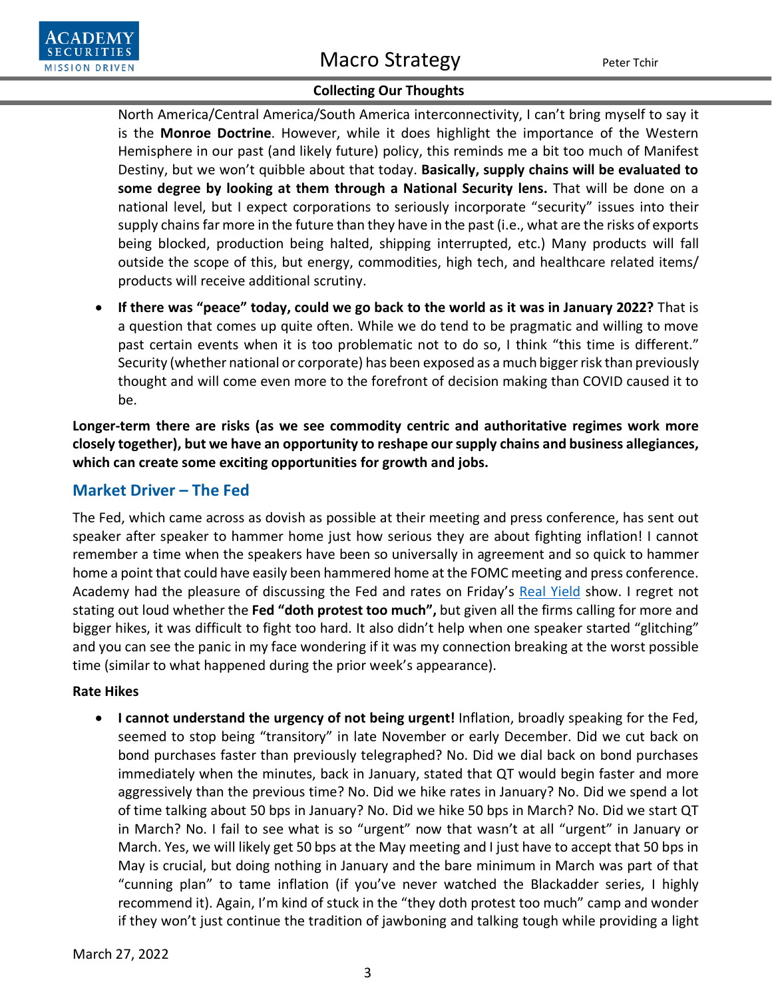# **Collecting Our Thoughts**

North America/Central America/South America interconnectivity, I can't bring myself to say it is the **Monroe Doctrine**. However, while it does highlight the importance of the Western Hemisphere in our past (and likely future) policy, this reminds me a bit too much of Manifest Destiny, but we won't quibble about that today. **Basically, supply chains will be evaluated to some degree by looking at them through a National Security lens.** That will be done on a national level, but I expect corporations to seriously incorporate "security" issues into their supply chains far more in the future than they have in the past (i.e., what are the risks of exports being blocked, production being halted, shipping interrupted, etc.) Many products will fall outside the scope of this, but energy, commodities, high tech, and healthcare related items/ products will receive additional scrutiny.

• **If there was "peace" today, could we go back to the world as it was in January 2022?** That is a question that comes up quite often. While we do tend to be pragmatic and willing to move past certain events when it is too problematic not to do so, I think "this time is different." Security (whether national or corporate) has been exposed as a much bigger risk than previously thought and will come even more to the forefront of decision making than COVID caused it to be.

**Longer-term there are risks (as we see commodity centric and authoritative regimes work more closely together), but we have an opportunity to reshape our supply chains and business allegiances, which can create some exciting opportunities for growth and jobs.** 

# **Market Driver – The Fed**

The Fed, which came across as dovish as possible at their meeting and press conference, has sent out speaker after speaker to hammer home just how serious they are about fighting inflation! I cannot remember a time when the speakers have been so universally in agreement and so quick to hammer home a point that could have easily been hammered home at the FOMC meeting and press conference. Academy had the pleasure of discussing the Fed and rates on Friday's [Real Yield](https://www.bloomberg.com/news/videos/2022-03-25/-bloomberg-real-yield-03-25-2022-video) show. I regret not stating out loud whether the **Fed "doth protest too much",** but given all the firms calling for more and bigger hikes, it was difficult to fight too hard. It also didn't help when one speaker started "glitching" and you can see the panic in my face wondering if it was my connection breaking at the worst possible time (similar to what happened during the prior week's appearance).

### **Rate Hikes**

• **I cannot understand the urgency of not being urgent!** Inflation, broadly speaking for the Fed, seemed to stop being "transitory" in late November or early December. Did we cut back on bond purchases faster than previously telegraphed? No. Did we dial back on bond purchases immediately when the minutes, back in January, stated that QT would begin faster and more aggressively than the previous time? No. Did we hike rates in January? No. Did we spend a lot of time talking about 50 bps in January? No. Did we hike 50 bps in March? No. Did we start QT in March? No. I fail to see what is so "urgent" now that wasn't at all "urgent" in January or March. Yes, we will likely get 50 bps at the May meeting and I just have to accept that 50 bps in May is crucial, but doing nothing in January and the bare minimum in March was part of that "cunning plan" to tame inflation (if you've never watched the Blackadder series, I highly recommend it). Again, I'm kind of stuck in the "they doth protest too much" camp and wonder if they won't just continue the tradition of jawboning and talking tough while providing a light

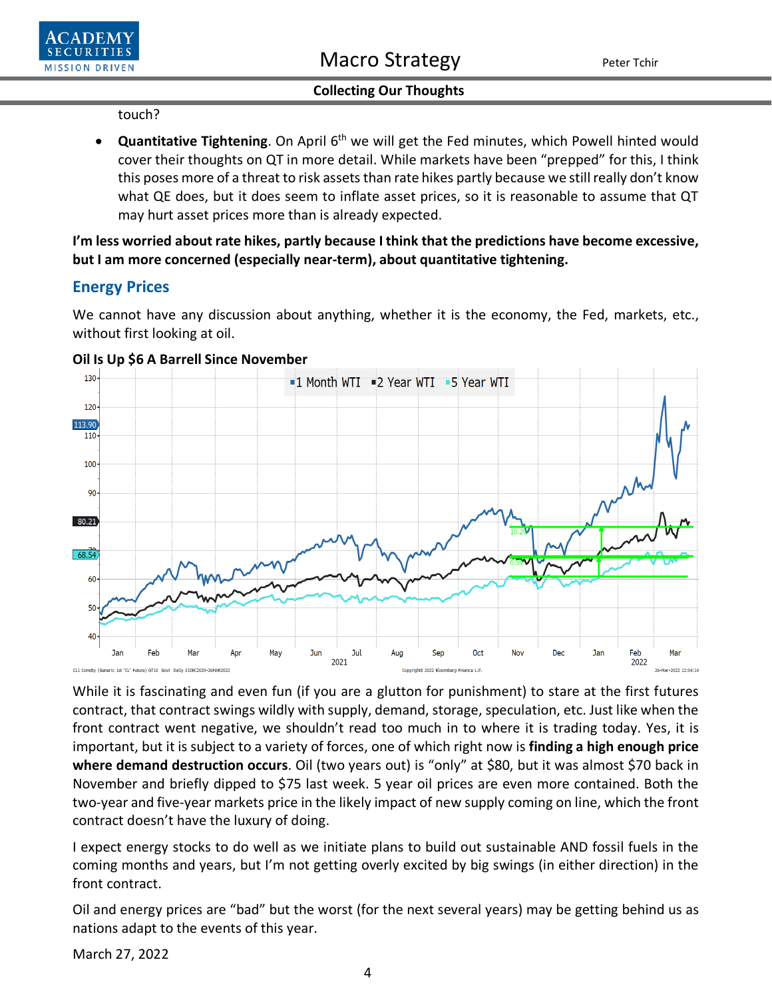### touch?

**• Quantitative Tightening**. On April 6<sup>th</sup> we will get the Fed minutes, which Powell hinted would cover their thoughts on QT in more detail. While markets have been "prepped" for this, I think this poses more of a threat to risk assets than rate hikes partly because we still really don't know what QE does, but it does seem to inflate asset prices, so it is reasonable to assume that QT may hurt asset prices more than is already expected.

**I'm less worried about rate hikes, partly because I think that the predictions have become excessive, but I am more concerned (especially near-term), about quantitative tightening.**

# **Energy Prices**

We cannot have any discussion about anything, whether it is the economy, the Fed, markets, etc., without first looking at oil.



### **Oil Is Up \$6 A Barrell Since November**

While it is fascinating and even fun (if you are a glutton for punishment) to stare at the first futures contract, that contract swings wildly with supply, demand, storage, speculation, etc. Just like when the front contract went negative, we shouldn't read too much in to where it is trading today. Yes, it is important, but it is subject to a variety of forces, one of which right now is **finding a high enough price where demand destruction occurs**. Oil (two years out) is "only" at \$80, but it was almost \$70 back in November and briefly dipped to \$75 last week. 5 year oil prices are even more contained. Both the two-year and five-year markets price in the likely impact of new supply coming on line, which the front contract doesn't have the luxury of doing.

I expect energy stocks to do well as we initiate plans to build out sustainable AND fossil fuels in the coming months and years, but I'm not getting overly excited by big swings (in either direction) in the front contract.

Oil and energy prices are "bad" but the worst (for the next several years) may be getting behind us as nations adapt to the events of this year.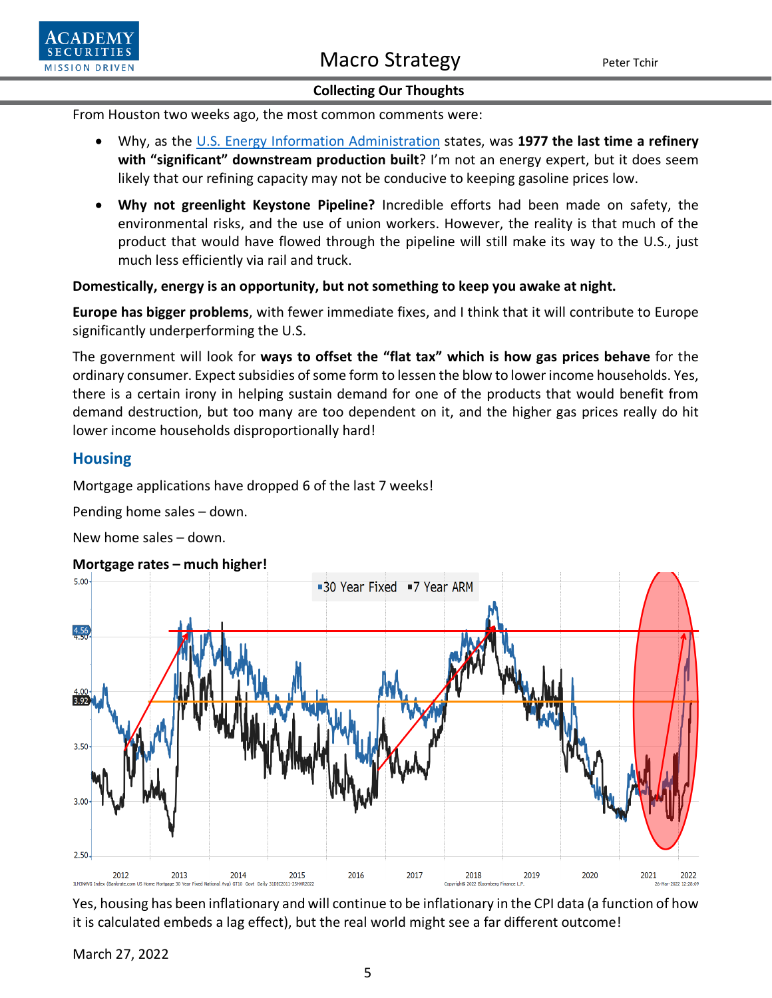From Houston two weeks ago, the most common comments were:

- Why, as the [U.S. Energy Information Administration](https://www.eia.gov/tools/faqs/faq.php?id=29&t=6) states, was **1977 the last time a refinery**  with "significant" downstream production built? I'm not an energy expert, but it does seem likely that our refining capacity may not be conducive to keeping gasoline prices low.
- **Why not greenlight Keystone Pipeline?** Incredible efforts had been made on safety, the environmental risks, and the use of union workers. However, the reality is that much of the product that would have flowed through the pipeline will still make its way to the U.S., just much less efficiently via rail and truck.

### **Domestically, energy is an opportunity, but not something to keep you awake at night.**

**Europe has bigger problems**, with fewer immediate fixes, and I think that it will contribute to Europe significantly underperforming the U.S.

The government will look for **ways to offset the "flat tax" which is how gas prices behave** for the ordinary consumer. Expect subsidies of some form to lessen the blow to lower income households. Yes, there is a certain irony in helping sustain demand for one of the products that would benefit from demand destruction, but too many are too dependent on it, and the higher gas prices really do hit lower income households disproportionally hard!

# **Housing**

**SECURI MISSION DRIVEN** 

Mortgage applications have dropped 6 of the last 7 weeks!

Pending home sales – down.

New home sales – down.

### **Mortgage rates – much higher!**



Yes, housing has been inflationary and will continue to be inflationary in the CPI data (a function of how it is calculated embeds a lag effect), but the real world might see a far different outcome!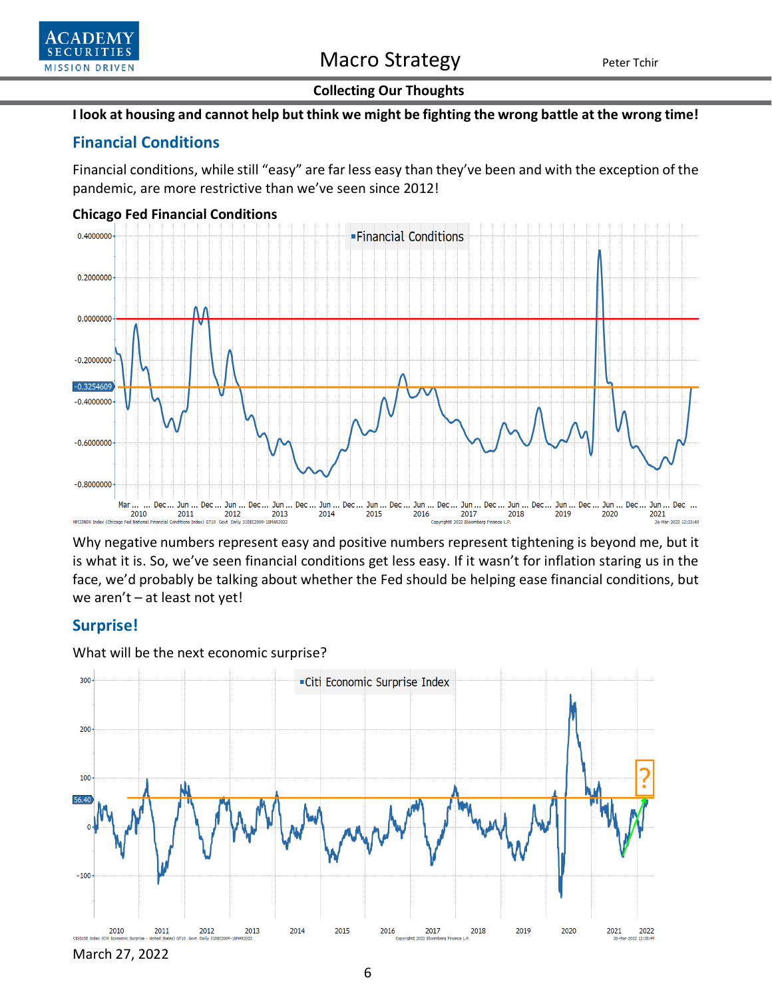

# **Collecting Our Thoughts**

### **I look at housing and cannot help but think we might be fighting the wrong battle at the wrong time!**

# **Financial Conditions**

Financial conditions, while still "easy" are far less easy than they've been and with the exception of the pandemic, are more restrictive than we've seen since 2012!



#### **Chicago Fed Financial Conditions**

Why negative numbers represent easy and positive numbers represent tightening is beyond me, but it is what it is. So, we've seen financial conditions get less easy. If it wasn't for inflation staring us in the face, we'd probably be talking about whether the Fed should be helping ease financial conditions, but we aren't – at least not yet!

# **Surprise!**



What will be the next economic surprise?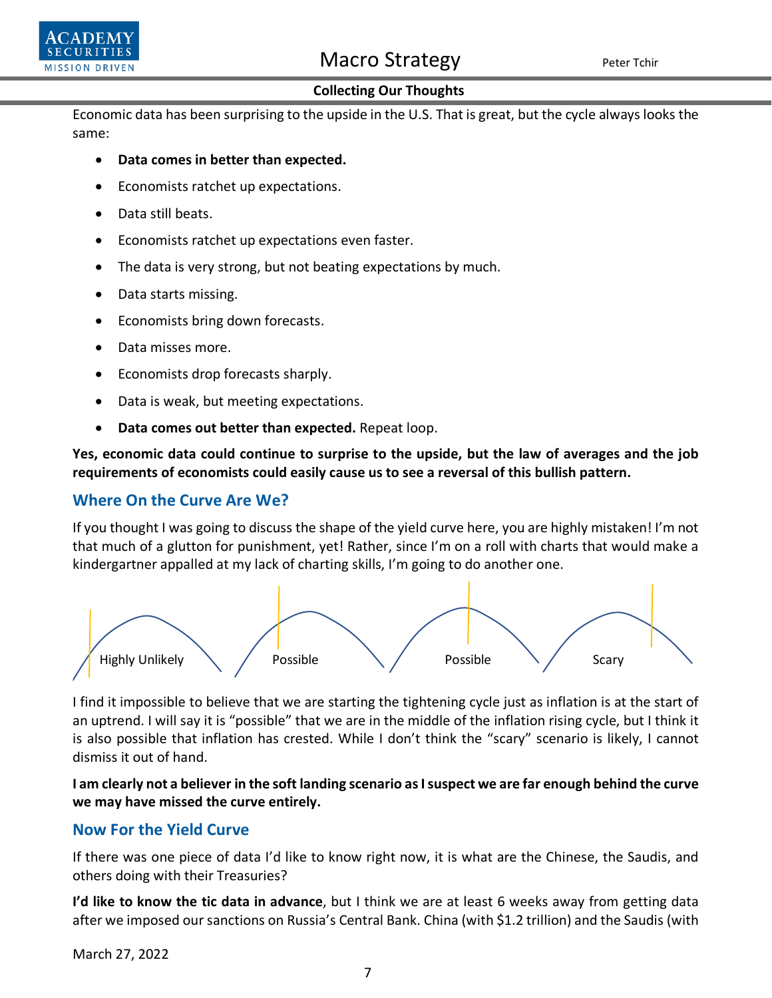

### **Collecting Our Thoughts**

Economic data has been surprising to the upside in the U.S. That is great, but the cycle always looks the same:

- **Data comes in better than expected.**
- Economists ratchet up expectations.
- Data still beats.
- Economists ratchet up expectations even faster.
- The data is very strong, but not beating expectations by much.
- Data starts missing.
- Economists bring down forecasts.
- Data misses more.
- Economists drop forecasts sharply.
- Data is weak, but meeting expectations.
- **Data comes out better than expected.** Repeat loop.

**Yes, economic data could continue to surprise to the upside, but the law of averages and the job requirements of economists could easily cause us to see a reversal of this bullish pattern.**

## **Where On the Curve Are We?**

If you thought I was going to discuss the shape of the yield curve here, you are highly mistaken! I'm not that much of a glutton for punishment, yet! Rather, since I'm on a roll with charts that would make a kindergartner appalled at my lack of charting skills, I'm going to do another one.



I find it impossible to believe that we are starting the tightening cycle just as inflation is at the start of an uptrend. I will say it is "possible" that we are in the middle of the inflation rising cycle, but I think it is also possible that inflation has crested. While I don't think the "scary" scenario is likely, I cannot dismiss it out of hand.

**I am clearly not a believer in the soft landing scenario as I suspect we are far enough behind the curve we may have missed the curve entirely.**

# **Now For the Yield Curve**

If there was one piece of data I'd like to know right now, it is what are the Chinese, the Saudis, and others doing with their Treasuries?

**I'd like to know the tic data in advance**, but I think we are at least 6 weeks away from getting data after we imposed oursanctions on Russia's Central Bank. China (with \$1.2 trillion) and the Saudis (with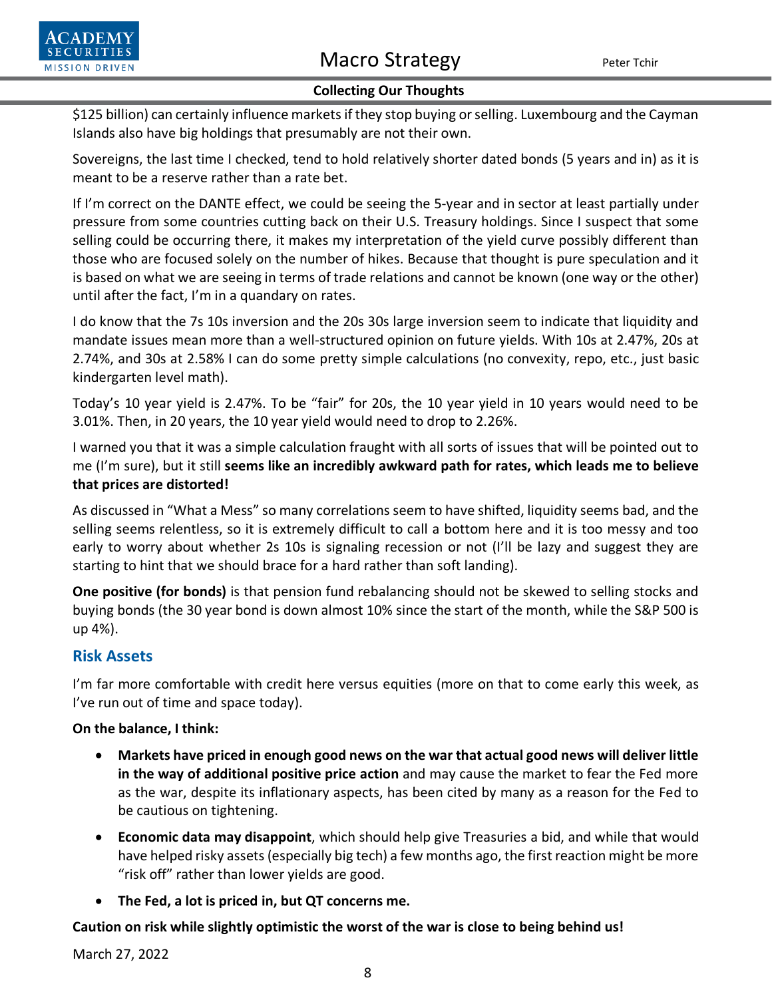

## **Collecting Our Thoughts**

\$125 billion) can certainly influence markets if they stop buying or selling. Luxembourg and the Cayman Islands also have big holdings that presumably are not their own.

Sovereigns, the last time I checked, tend to hold relatively shorter dated bonds (5 years and in) as it is meant to be a reserve rather than a rate bet.

If I'm correct on the DANTE effect, we could be seeing the 5-year and in sector at least partially under pressure from some countries cutting back on their U.S. Treasury holdings. Since I suspect that some selling could be occurring there, it makes my interpretation of the yield curve possibly different than those who are focused solely on the number of hikes. Because that thought is pure speculation and it is based on what we are seeing in terms of trade relations and cannot be known (one way or the other) until after the fact, I'm in a quandary on rates.

I do know that the 7s 10s inversion and the 20s 30s large inversion seem to indicate that liquidity and mandate issues mean more than a well-structured opinion on future yields. With 10s at 2.47%, 20s at 2.74%, and 30s at 2.58% I can do some pretty simple calculations (no convexity, repo, etc., just basic kindergarten level math).

Today's 10 year yield is 2.47%. To be "fair" for 20s, the 10 year yield in 10 years would need to be 3.01%. Then, in 20 years, the 10 year yield would need to drop to 2.26%.

I warned you that it was a simple calculation fraught with all sorts of issues that will be pointed out to me (I'm sure), but it still **seems like an incredibly awkward path for rates, which leads me to believe that prices are distorted!**

As discussed in "What a Mess" so many correlations seem to have shifted, liquidity seems bad, and the selling seems relentless, so it is extremely difficult to call a bottom here and it is too messy and too early to worry about whether 2s 10s is signaling recession or not (I'll be lazy and suggest they are starting to hint that we should brace for a hard rather than soft landing).

**One positive (for bonds)** is that pension fund rebalancing should not be skewed to selling stocks and buying bonds (the 30 year bond is down almost 10% since the start of the month, while the S&P 500 is up 4%).

# **Risk Assets**

I'm far more comfortable with credit here versus equities (more on that to come early this week, as I've run out of time and space today).

**On the balance, I think:**

- **Markets have priced in enough good news on the war that actual good news will deliver little in the way of additional positive price action** and may cause the market to fear the Fed more as the war, despite its inflationary aspects, has been cited by many as a reason for the Fed to be cautious on tightening.
- **Economic data may disappoint**, which should help give Treasuries a bid, and while that would have helped risky assets (especially big tech) a few months ago, the first reaction might be more "risk off" rather than lower yields are good.
- **The Fed, a lot is priced in, but QT concerns me.**

# **Caution on risk while slightly optimistic the worst of the war is close to being behind us!**